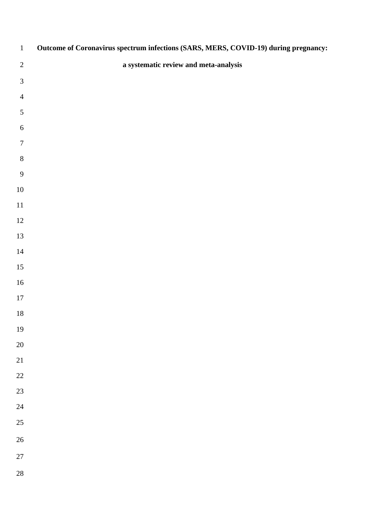| $\,1\,$         | Outcome of Coronavirus spectrum infections (SARS, MERS, COVID-19) during pregnancy: |
|-----------------|-------------------------------------------------------------------------------------|
| $\sqrt{2}$      | a systematic review and meta-analysis                                               |
| $\mathfrak 3$   |                                                                                     |
| $\overline{4}$  |                                                                                     |
| $\sqrt{5}$      |                                                                                     |
| $\sqrt{6}$      |                                                                                     |
| $\tau$          |                                                                                     |
| $\,8\,$         |                                                                                     |
| $\overline{9}$  |                                                                                     |
| $10\,$          |                                                                                     |
| $11\,$          |                                                                                     |
| 12              |                                                                                     |
| 13              |                                                                                     |
| 14              |                                                                                     |
| 15              |                                                                                     |
| 16              |                                                                                     |
| $17\,$          |                                                                                     |
| $18\,$          |                                                                                     |
| 19              |                                                                                     |
| 20              |                                                                                     |
| $\overline{21}$ |                                                                                     |
| 22              |                                                                                     |
| 23              |                                                                                     |
| 24              |                                                                                     |
| 25              |                                                                                     |
| 26              |                                                                                     |
| 27              |                                                                                     |
| 28              |                                                                                     |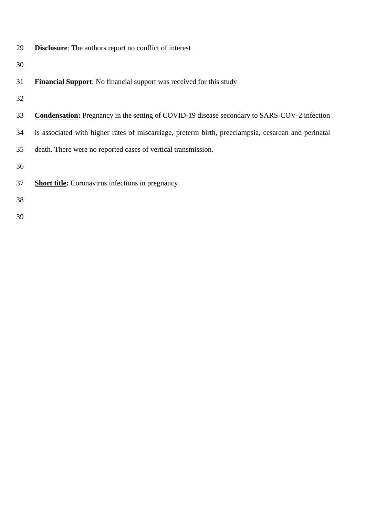**Disclosure**: The authors report no conflict of interest

- **Financial Support**: No financial support was received for this study
- 
- **Condensation:** Pregnancy in the setting of COVID-19 disease secondary to SARS-COV-2 infection
- is associated with higher rates of miscarriage, preterm birth, preeclampsia, cesarean and perinatal

death. There were no reported cases of vertical transmission.

- **Short title:** Coronavirus infections in pregnancy
- 
-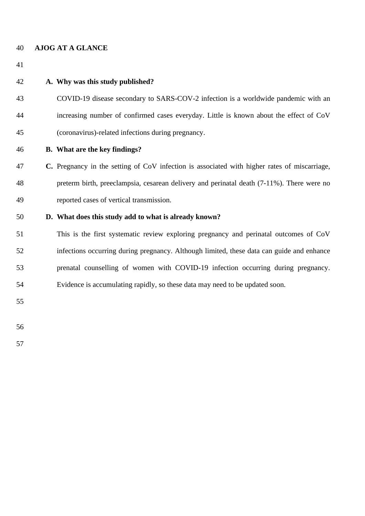#### **AJOG AT A GLANCE**

## **A. Why was this study published?**

- COVID-19 disease secondary to SARS-COV-2 infection is a worldwide pandemic with an increasing number of confirmed cases everyday. Little is known about the effect of CoV (coronavirus)-related infections during pregnancy.
- 

#### **B. What are the key findings?**

 **C.** Pregnancy in the setting of CoV infection is associated with higher rates of miscarriage, preterm birth, preeclampsia, cesarean delivery and perinatal death (7-11%). There were no reported cases of vertical transmission.

### **D. What does this study add to what is already known?**

 This is the first systematic review exploring pregnancy and perinatal outcomes of CoV infections occurring during pregnancy. Although limited, these data can guide and enhance prenatal counselling of women with COVID-19 infection occurring during pregnancy. Evidence is accumulating rapidly, so these data may need to be updated soon.

- 
-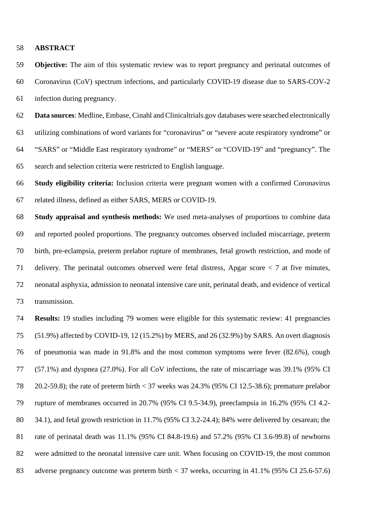#### **ABSTRACT**

 **Objective:** The aim of this systematic review was to report pregnancy and perinatal outcomes of Coronavirus (CoV) spectrum infections, and particularly COVID-19 disease due to SARS-COV-2 infection during pregnancy.

 **Data sources**: Medline, Embase, Cinahl and Clinicaltrials.gov databases were searched electronically utilizing combinations of word variants for "coronavirus" or "severe acute respiratory syndrome" or "SARS" or "Middle East respiratory syndrome" or "MERS" or "COVID-19" and "pregnancy". The search and selection criteria were restricted to English language.

 **Study eligibility criteria:** Inclusion criteria were pregnant women with a confirmed Coronavirus related illness, defined as either SARS, MERS or COVID-19.

 **Study appraisal and synthesis methods:** We used meta-analyses of proportions to combine data and reported pooled proportions. The pregnancy outcomes observed included miscarriage, preterm birth, pre-eclampsia, preterm prelabor rupture of membranes, fetal growth restriction, and mode of delivery. The perinatal outcomes observed were fetal distress, Apgar score < 7 at five minutes, neonatal asphyxia, admission to neonatal intensive care unit, perinatal death, and evidence of vertical transmission.

 **Results:** 19 studies including 79 women were eligible for this systematic review: 41 pregnancies (51.9%) affected by COVID-19, 12 (15.2%) by MERS, and 26 (32.9%) by SARS. An overt diagnosis of pneumonia was made in 91.8% and the most common symptoms were fever (82.6%), cough (57.1%) and dyspnea (27.0%). For all CoV infections, the rate of miscarriage was 39.1% (95% CI 20.2-59.8); the rate of preterm birth < 37 weeks was 24.3% (95% CI 12.5-38.6); premature prelabor rupture of membranes occurred in 20.7% (95% CI 9.5-34.9), preeclampsia in 16.2% (95% CI 4.2- 34.1), and fetal growth restriction in 11.7% (95% CI 3.2-24.4); 84% were delivered by cesarean; the rate of perinatal death was 11.1% (95% CI 84.8-19.6) and 57.2% (95% CI 3.6-99.8) of newborns were admitted to the neonatal intensive care unit. When focusing on COVID-19, the most common adverse pregnancy outcome was preterm birth < 37 weeks, occurring in 41.1% (95% CI 25.6-57.6)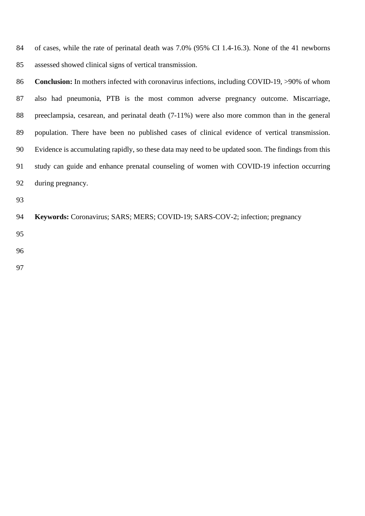of cases, while the rate of perinatal death was 7.0% (95% CI 1.4-16.3). None of the 41 newborns assessed showed clinical signs of vertical transmission.

**Conclusion:** In mothers infected with coronavirus infections, including COVID-19, >90% of whom also had pneumonia, PTB is the most common adverse pregnancy outcome. Miscarriage, preeclampsia, cesarean, and perinatal death (7-11%) were also more common than in the general population. There have been no published cases of clinical evidence of vertical transmission. Evidence is accumulating rapidly, so these data may need to be updated soon. The findings from this study can guide and enhance prenatal counseling of women with COVID-19 infection occurring during pregnancy.

**Keywords:** Coronavirus; SARS; MERS; COVID-19; SARS-COV-2; infection; pregnancy

- 
- 
-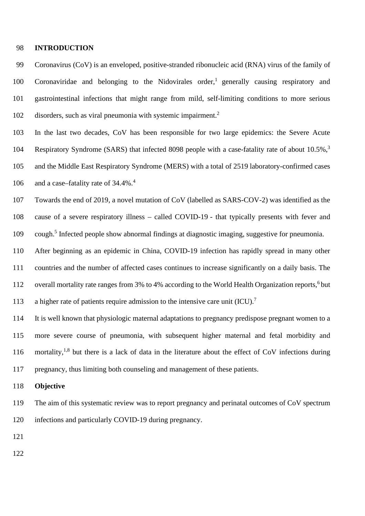#### **INTRODUCTION**

 Coronavirus (CoV) is an enveloped, positive-stranded ribonucleic acid (RNA) virus of the family of 100 Coronaviridae and belonging to the Nidovirales order,<sup>1</sup> generally causing respiratory and gastrointestinal infections that might range from mild, self-limiting conditions to more serious disorders, such as viral pneumonia with systemic impairment.<sup>2</sup>

 In the last two decades, CoV has been responsible for two large epidemics: the Severe Acute 104 Respiratory Syndrome (SARS) that infected 8098 people with a case-fatality rate of about 10.5%,<sup>3</sup> and the Middle East Respiratory Syndrome (MERS) with a total of 2519 laboratory-confirmed cases 106 and a case–fatality rate of 34.4%.<sup>4</sup>

 Towards the end of 2019, a novel mutation of CoV (labelled as SARS-COV-2) was identified as the cause of a severe respiratory illness – called COVID-19 - that typically presents with fever and 109 cough.<sup>5</sup> Infected people show abnormal findings at diagnostic imaging, suggestive for pneumonia.

 After beginning as an epidemic in China, COVID-19 infection has rapidly spread in many other countries and the number of affected cases continues to increase significantly on a daily basis. The 112 overall mortality rate ranges from 3% to 4% according to the World Health Organization reports, <sup>6</sup> but 113 a higher rate of patients require admission to the intensive care unit  $(ICU)^{7}$ 

 It is well known that physiologic maternal adaptations to pregnancy predispose pregnant women to a more severe course of pneumonia, with subsequent higher maternal and fetal morbidity and 116 mortality,<sup>1,8</sup> but there is a lack of data in the literature about the effect of CoV infections during pregnancy, thus limiting both counseling and management of these patients.

#### **Objective**

 The aim of this systematic review was to report pregnancy and perinatal outcomes of CoV spectrum infections and particularly COVID-19 during pregnancy.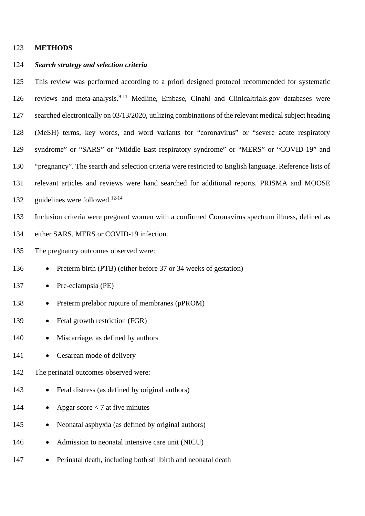#### 123 **METHODS**

#### 124 *Search strategy and selection criteria*

 This review was performed according to a priori designed protocol recommended for systematic 126 reviews and meta-analysis.<sup>9-11</sup> Medline, Embase, Cinahl and Clinicaltrials.gov databases were searched electronically on 03/13/2020, utilizing combinations of the relevant medical subject heading (MeSH) terms, key words, and word variants for "coronavirus" or "severe acute respiratory syndrome" or "SARS" or "Middle East respiratory syndrome" or "MERS" or "COVID-19" and "pregnancy". The search and selection criteria were restricted to English language. Reference lists of relevant articles and reviews were hand searched for additional reports. PRISMA and MOOSE 132 guidelines were followed.<sup>12-14</sup> Inclusion criteria were pregnant women with a confirmed Coronavirus spectrum illness, defined as either SARS, MERS or COVID-19 infection. The pregnancy outcomes observed were: 136 • Preterm birth (PTB) (either before 37 or 34 weeks of gestation) 137 • Pre-eclampsia (PE)

- 138 Preterm prelabor rupture of membranes (pPROM)
- 139 Fetal growth restriction (FGR)
- 140 Miscarriage, as defined by authors
- 141 Cesarean mode of delivery
- 142 The perinatal outcomes observed were:
- 143 Fetal distress (as defined by original authors)
- 144 Apgar score < 7 at five minutes
- 145 Neonatal asphyxia (as defined by original authors)
- 146 Admission to neonatal intensive care unit (NICU)
- 147 Perinatal death, including both still birth and neonatal death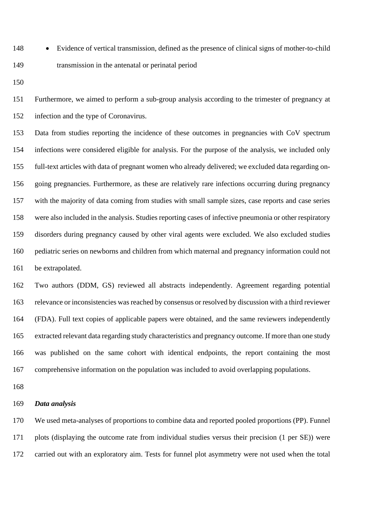• Evidence of vertical transmission, defined as the presence of clinical signs of mother-to-child transmission in the antenatal or perinatal period

 Furthermore, we aimed to perform a sub-group analysis according to the trimester of pregnancy at infection and the type of Coronavirus.

 Data from studies reporting the incidence of these outcomes in pregnancies with CoV spectrum infections were considered eligible for analysis. For the purpose of the analysis, we included only full-text articles with data of pregnant women who already delivered; we excluded data regarding on- going pregnancies. Furthermore, as these are relatively rare infections occurring during pregnancy with the majority of data coming from studies with small sample sizes, case reports and case series were also included in the analysis. Studies reporting cases of infective pneumonia or other respiratory disorders during pregnancy caused by other viral agents were excluded. We also excluded studies pediatric series on newborns and children from which maternal and pregnancy information could not be extrapolated.

 Two authors (DDM, GS) reviewed all abstracts independently. Agreement regarding potential relevance or inconsistencies was reached by consensus or resolved by discussion with a third reviewer (FDA). Full text copies of applicable papers were obtained, and the same reviewers independently extracted relevant data regarding study characteristics and pregnancy outcome. If more than one study was published on the same cohort with identical endpoints, the report containing the most comprehensive information on the population was included to avoid overlapping populations.

#### *Data analysis*

 We used meta-analyses of proportions to combine data and reported pooled proportions (PP). Funnel plots (displaying the outcome rate from individual studies versus their precision (1 per SE)) were carried out with an exploratory aim. Tests for funnel plot asymmetry were not used when the total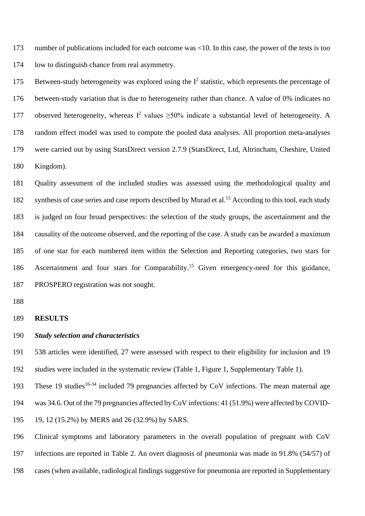number of publications included for each outcome was <10. In this case, the power of the tests is too low to distinguish chance from real asymmetry.

175 Between-study heterogeneity was explored using the  $I^2$  statistic, which represents the percentage of between-study variation that is due to heterogeneity rather than chance. A value of 0% indicates no 177 observed heterogeneity, whereas  $I^2$  values  $\geq$ 50% indicate a substantial level of heterogeneity. A random effect model was used to compute the pooled data analyses. All proportion meta-analyses were carried out by using StatsDirect version 2.7.9 (StatsDirect, Ltd, Altrincham, Cheshire, United Kingdom).

 Quality assessment of the included studies was assessed using the methodological quality and 182 synthesis of case series and case reports described by Murad et al.<sup>15</sup> According to this tool, each study is judged on four broad perspectives: the selection of the study groups, the ascertainment and the causality of the outcome observed, and the reporting of the case. A study can be awarded a maximum of one star for each numbered item within the Selection and Reporting categories, two stars for 186 Ascertainment and four stars for Comparability.<sup>15</sup> Given emergency-need for this guidance, PROSPERO registration was not sought.

#### **RESULTS**

#### *Study selection and characteristics*

 538 articles were identified, 27 were assessed with respect to their eligibility for inclusion and 19 studies were included in the systematic review (Table 1, Figure 1, Supplementary Table 1).

193 These 19 studies<sup>16-34</sup> included 79 pregnancies affected by CoV infections. The mean maternal age

was 34.6. Out of the 79 pregnancies affected by CoV infections: 41 (51.9%) were affected by COVID-

19, 12 (15.2%) by MERS and 26 (32.9%) by SARS.

Clinical symptoms and laboratory parameters in the overall population of pregnant with CoV

infections are reported in Table 2. An overt diagnosis of pneumonia was made in 91.8% (54/57) of

cases (when available, radiological findings suggestive for pneumonia are reported in Supplementary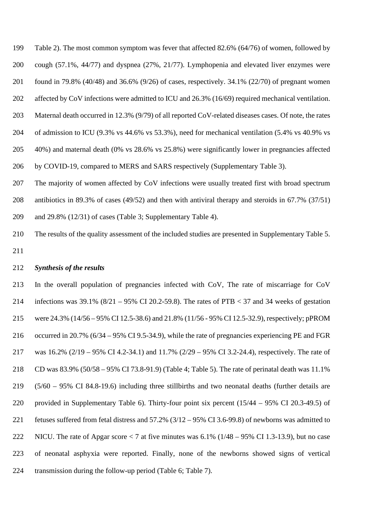Table 2). The most common symptom was fever that affected 82.6% (64/76) of women, followed by cough (57.1%, 44/77) and dyspnea (27%, 21/77). Lymphopenia and elevated liver enzymes were found in 79.8% (40/48) and 36.6% (9/26) of cases, respectively. 34.1% (22/70) of pregnant women affected by CoV infections were admitted to ICU and 26.3% (16/69) required mechanical ventilation. Maternal death occurred in 12.3% (9/79) of all reported CoV-related diseases cases. Of note, the rates of admission to ICU (9.3% vs 44.6% vs 53.3%), need for mechanical ventilation (5.4% vs 40.9% vs 40%) and maternal death (0% vs 28.6% vs 25.8%) were significantly lower in pregnancies affected by COVID-19, compared to MERS and SARS respectively (Supplementary Table 3).

 The majority of women affected by CoV infections were usually treated first with broad spectrum antibiotics in 89.3% of cases (49/52) and then with antiviral therapy and steroids in 67.7% (37/51) and 29.8% (12/31) of cases (Table 3; Supplementary Table 4).

 The results of the quality assessment of the included studies are presented in Supplementary Table 5. 

#### *Synthesis of the results*

 In the overall population of pregnancies infected with CoV, The rate of miscarriage for CoV 214 infections was  $39.1\%$  ( $8/21 - 95\%$  CI 20.2-59.8). The rates of PTB < 37 and 34 weeks of gestation were 24.3% (14/56 – 95% CI 12.5-38.6) and 21.8% (11/56 - 95% CI 12.5-32.9), respectively; pPROM occurred in 20.7% (6/34 – 95% CI 9.5-34.9), while the rate of pregnancies experiencing PE and FGR was 16.2% (2/19 – 95% CI 4.2-34.1) and 11.7% (2/29 – 95% CI 3.2-24.4), respectively. The rate of CD was 83.9% (50/58 – 95% CI 73.8-91.9) (Table 4; Table 5). The rate of perinatal death was 11.1% (5/60 – 95% CI 84.8-19.6) including three stillbirths and two neonatal deaths (further details are provided in Supplementary Table 6). Thirty-four point six percent (15/44 – 95% CI 20.3-49.5) of fetuses suffered from fetal distress and 57.2% (3/12 – 95% CI 3.6-99.8) of newborns was admitted to NICU. The rate of Apgar score < 7 at five minutes was 6.1% (1/48 – 95% CI 1.3-13.9), but no case of neonatal asphyxia were reported. Finally, none of the newborns showed signs of vertical transmission during the follow-up period (Table 6; Table 7).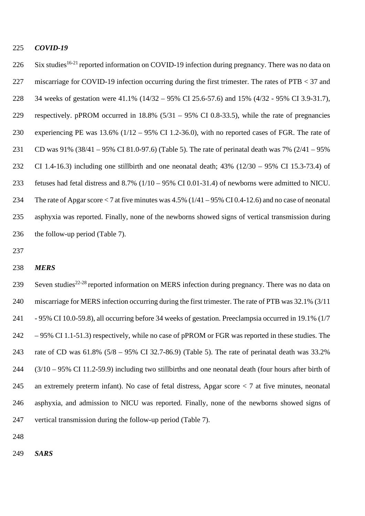#### *COVID-19*

226 Six studies<sup>16-21</sup> reported information on COVID-19 infection during pregnancy. There was no data on miscarriage for COVID-19 infection occurring during the first trimester. The rates of PTB < 37 and 34 weeks of gestation were 41.1% (14/32 – 95% CI 25.6-57.6) and 15% (4/32 - 95% CI 3.9-31.7), respectively. pPROM occurred in 18.8% (5/31 – 95% CI 0.8-33.5), while the rate of pregnancies experiencing PE was 13.6% (1/12 – 95% CI 1.2-36.0), with no reported cases of FGR. The rate of CD was 91% (38/41 – 95% CI 81.0-97.6) (Table 5). The rate of perinatal death was 7% (2/41 – 95% CI 1.4-16.3) including one stillbirth and one neonatal death; 43% (12/30 – 95% CI 15.3-73.4) of fetuses had fetal distress and 8.7% (1/10 – 95% CI 0.01-31.4) of newborns were admitted to NICU. The rate of Apgar score < 7 at five minutes was 4.5% (1/41 – 95% CI 0.4-12.6) and no case of neonatal asphyxia was reported. Finally, none of the newborns showed signs of vertical transmission during the follow-up period (Table 7).

#### *MERS*

239 Seven studies<sup>22-28</sup> reported information on MERS infection during pregnancy. There was no data on miscarriage for MERS infection occurring during the first trimester. The rate of PTB was 32.1% (3/11 - 95% CI 10.0-59.8), all occurring before 34 weeks of gestation. Preeclampsia occurred in 19.1% (1/7 – 95% CI 1.1-51.3) respectively, while no case of pPROM or FGR was reported in these studies. The rate of CD was 61.8% (5/8 – 95% CI 32.7-86.9) (Table 5). The rate of perinatal death was 33.2% (3/10 – 95% CI 11.2-59.9) including two stillbirths and one neonatal death (four hours after birth of an extremely preterm infant). No case of fetal distress, Apgar score < 7 at five minutes, neonatal asphyxia, and admission to NICU was reported. Finally, none of the newborns showed signs of vertical transmission during the follow-up period (Table 7).

- 
- *SARS*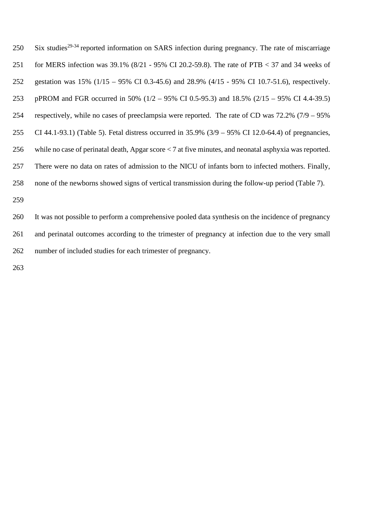250 Six studies<sup>29-34</sup> reported information on SARS infection during pregnancy. The rate of miscarriage for MERS infection was 39.1% (8/21 - 95% CI 20.2-59.8). The rate of PTB < 37 and 34 weeks of gestation was 15% (1/15 – 95% CI 0.3-45.6) and 28.9% (4/15 - 95% CI 10.7-51.6), respectively. pPROM and FGR occurred in 50% (1/2 – 95% CI 0.5-95.3) and 18.5% (2/15 – 95% CI 4.4-39.5) respectively, while no cases of preeclampsia were reported. The rate of CD was 72.2% (7/9 – 95% CI 44.1-93.1) (Table 5). Fetal distress occurred in 35.9% (3/9 – 95% CI 12.0-64.4) of pregnancies, while no case of perinatal death, Apgar score < 7 at five minutes, and neonatal asphyxia was reported. There were no data on rates of admission to the NICU of infants born to infected mothers. Finally, none of the newborns showed signs of vertical transmission during the follow-up period (Table 7).

 It was not possible to perform a comprehensive pooled data synthesis on the incidence of pregnancy and perinatal outcomes according to the trimester of pregnancy at infection due to the very small number of included studies for each trimester of pregnancy.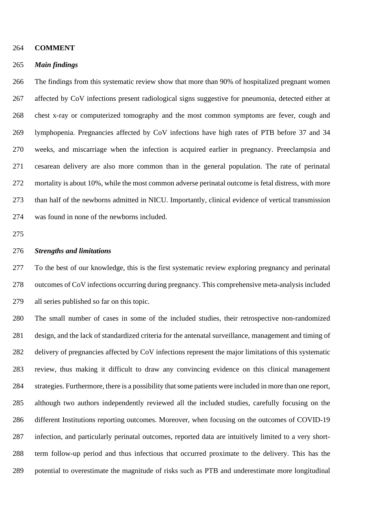#### **COMMENT**

#### *Main findings*

 The findings from this systematic review show that more than 90% of hospitalized pregnant women affected by CoV infections present radiological signs suggestive for pneumonia, detected either at chest x-ray or computerized tomography and the most common symptoms are fever, cough and lymphopenia. Pregnancies affected by CoV infections have high rates of PTB before 37 and 34 weeks, and miscarriage when the infection is acquired earlier in pregnancy. Preeclampsia and cesarean delivery are also more common than in the general population. The rate of perinatal mortality is about 10%, while the most common adverse perinatal outcome is fetal distress, with more than half of the newborns admitted in NICU. Importantly, clinical evidence of vertical transmission was found in none of the newborns included.

#### *Strengths and limitations*

 To the best of our knowledge, this is the first systematic review exploring pregnancy and perinatal outcomes of CoV infections occurring during pregnancy. This comprehensive meta-analysis included all series published so far on this topic.

 The small number of cases in some of the included studies, their retrospective non-randomized design, and the lack of standardized criteria for the antenatal surveillance, management and timing of delivery of pregnancies affected by CoV infections represent the major limitations of this systematic review, thus making it difficult to draw any convincing evidence on this clinical management strategies. Furthermore, there is a possibility that some patients were included in more than one report, although two authors independently reviewed all the included studies, carefully focusing on the different Institutions reporting outcomes. Moreover, when focusing on the outcomes of COVID-19 infection, and particularly perinatal outcomes, reported data are intuitively limited to a very short- term follow-up period and thus infectious that occurred proximate to the delivery. This has the potential to overestimate the magnitude of risks such as PTB and underestimate more longitudinal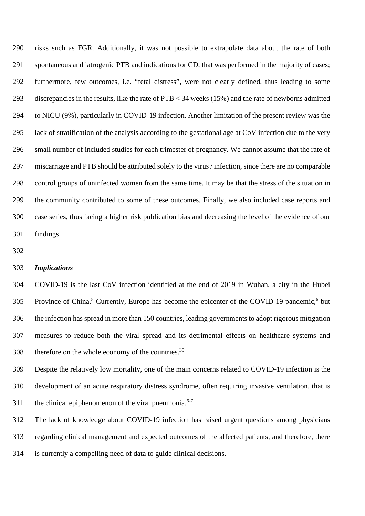risks such as FGR. Additionally, it was not possible to extrapolate data about the rate of both spontaneous and iatrogenic PTB and indications for CD, that was performed in the majority of cases; furthermore, few outcomes, i.e. "fetal distress", were not clearly defined, thus leading to some discrepancies in the results, like the rate of PTB < 34 weeks (15%) and the rate of newborns admitted to NICU (9%), particularly in COVID-19 infection. Another limitation of the present review was the lack of stratification of the analysis according to the gestational age at CoV infection due to the very small number of included studies for each trimester of pregnancy. We cannot assume that the rate of miscarriage and PTB should be attributed solely to the virus / infection, since there are no comparable control groups of uninfected women from the same time. It may be that the stress of the situation in the community contributed to some of these outcomes. Finally, we also included case reports and case series, thus facing a higher risk publication bias and decreasing the level of the evidence of our findings.

#### *Implications*

 COVID-19 is the last CoV infection identified at the end of 2019 in Wuhan, a city in the Hubei 305 Province of China.<sup>5</sup> Currently, Europe has become the epicenter of the COVID-19 pandemic,<sup>6</sup> but the infection has spread in more than 150 countries, leading governments to adopt rigorous mitigation measures to reduce both the viral spread and its detrimental effects on healthcare systems and therefore on the whole economy of the countries.<sup>35</sup>

 Despite the relatively low mortality, one of the main concerns related to COVID-19 infection is the development of an acute respiratory distress syndrome, often requiring invasive ventilation, that is 311 the clinical epiphenomenon of the viral pneumonia.<sup>6-7</sup>

 The lack of knowledge about COVID-19 infection has raised urgent questions among physicians regarding clinical management and expected outcomes of the affected patients, and therefore, there is currently a compelling need of data to guide clinical decisions.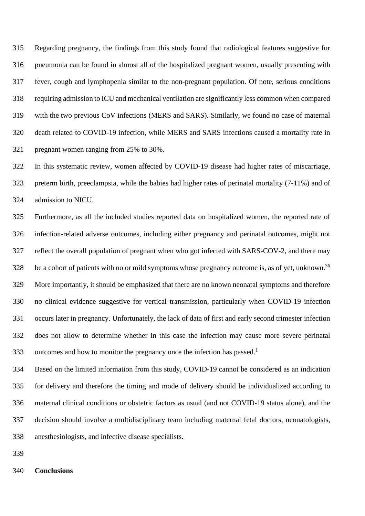Regarding pregnancy, the findings from this study found that radiological features suggestive for pneumonia can be found in almost all of the hospitalized pregnant women, usually presenting with fever, cough and lymphopenia similar to the non-pregnant population. Of note, serious conditions requiring admission to ICU and mechanical ventilation are significantly less common when compared with the two previous CoV infections (MERS and SARS). Similarly, we found no case of maternal death related to COVID-19 infection, while MERS and SARS infections caused a mortality rate in pregnant women ranging from 25% to 30%.

 In this systematic review, women affected by COVID-19 disease had higher rates of miscarriage, preterm birth, preeclampsia, while the babies had higher rates of perinatal mortality (7-11%) and of admission to NICU.

 Furthermore, as all the included studies reported data on hospitalized women, the reported rate of infection-related adverse outcomes, including either pregnancy and perinatal outcomes, might not reflect the overall population of pregnant when who got infected with SARS-COV-2, and there may 328 be a cohort of patients with no or mild symptoms whose pregnancy outcome is, as of yet, unknown.<sup>36</sup> More importantly, it should be emphasized that there are no known neonatal symptoms and therefore no clinical evidence suggestive for vertical transmission, particularly when COVID-19 infection occurs later in pregnancy. Unfortunately, the lack of data of first and early second trimester infection does not allow to determine whether in this case the infection may cause more severe perinatal 333 outcomes and how to monitor the pregnancy once the infection has passed.<sup>1</sup>

 Based on the limited information from this study, COVID-19 cannot be considered as an indication for delivery and therefore the timing and mode of delivery should be individualized according to maternal clinical conditions or obstetric factors as usual (and not COVID-19 status alone), and the decision should involve a multidisciplinary team including maternal fetal doctors, neonatologists, anesthesiologists, and infective disease specialists.

#### **Conclusions**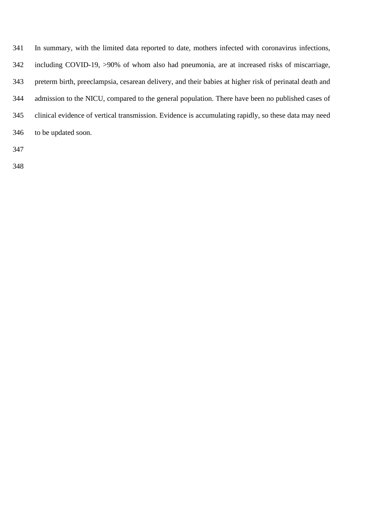| 341 | In summary, with the limited data reported to date, mothers infected with coronavirus infections,      |
|-----|--------------------------------------------------------------------------------------------------------|
| 342 | including COVID-19, >90% of whom also had pneumonia, are at increased risks of miscarriage,            |
| 343 | preterm birth, preeclampsia, cesarean delivery, and their babies at higher risk of perinatal death and |
| 344 | admission to the NICU, compared to the general population. There have been no published cases of       |
| 345 | clinical evidence of vertical transmission. Evidence is accumulating rapidly, so these data may need   |
| 346 | to be updated soon.                                                                                    |
| 347 |                                                                                                        |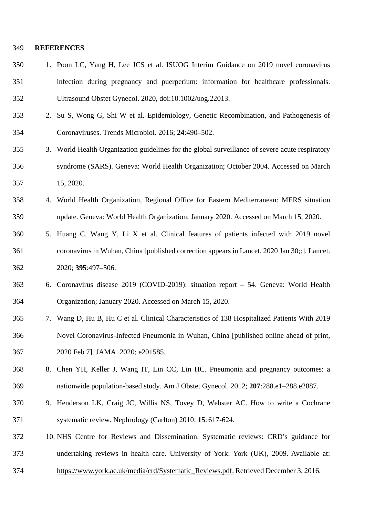#### **REFERENCES**

- 1. Poon LC, Yang H, Lee JCS et al. ISUOG Interim Guidance on 2019 novel coronavirus infection during pregnancy and puerperium: information for healthcare professionals. Ultrasound Obstet Gynecol. 2020, doi:10.1002/uog.22013.
- 2. Su S, Wong G, Shi W et al. Epidemiology, Genetic Recombination, and Pathogenesis of Coronaviruses. Trends Microbiol. 2016; **24**:490–502.
- 3. World Health Organization guidelines for the global surveillance of severe acute respiratory syndrome (SARS). Geneva: World Health Organization; October 2004. Accessed on March 15, 2020.
- 4. World Health Organization, Regional Office for Eastern Mediterranean: MERS situation update. Geneva: World Health Organization; January 2020. Accessed on March 15, 2020.
- 5. Huang C, Wang Y, Li X et al. Clinical features of patients infected with 2019 novel coronavirus in Wuhan, China [published correction appears in Lancet. 2020 Jan 30;:]. Lancet. 2020; **395**:497–506.
- 6. Coronavirus disease 2019 (COVID-2019): situation report 54. Geneva: World Health Organization; January 2020. Accessed on March 15, 2020.
- 7. Wang D, Hu B, Hu C et al. Clinical Characteristics of 138 Hospitalized Patients With 2019 Novel Coronavirus-Infected Pneumonia in Wuhan, China [published online ahead of print, 2020 Feb 7]. JAMA. 2020; e201585.
- 8. Chen YH, Keller J, Wang IT, Lin CC, Lin HC. Pneumonia and pregnancy outcomes: a nationwide population-based study. Am J Obstet Gynecol. 2012; **207**:288.e1–288.e2887.
- 9. Henderson LK, Craig JC, Willis NS, Tovey D, Webster AC. How to write a Cochrane systematic review. Nephrology (Carlton) 2010; **15**: 617-624.
- 10. NHS Centre for Reviews and Dissemination. Systematic reviews: CRD's guidance for undertaking reviews in health care. University of York: York (UK), 2009. Available at:
- https://www.york.ac.uk/media/crd/Systematic\_Reviews.pdf. Retrieved December 3, 2016.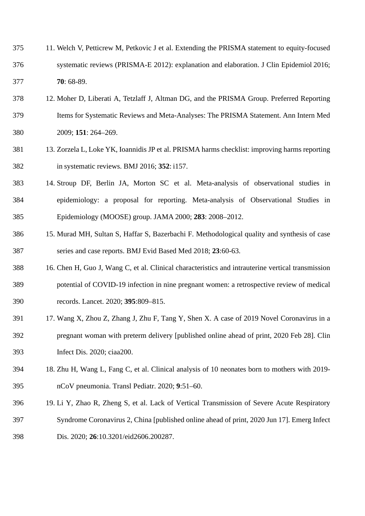| 375 | 11. Welch V, Petticrew M, Petkovic J et al. Extending the PRISMA statement to equity-focused |
|-----|----------------------------------------------------------------------------------------------|
| 376 | systematic reviews (PRISMA-E 2012): explanation and elaboration. J Clin Epidemiol 2016;      |
| 377 | $70:68-89.$                                                                                  |

- 12. Moher D, Liberati A, Tetzlaff J, Altman DG, and the PRISMA Group. Preferred Reporting Items for Systematic Reviews and Meta-Analyses: The PRISMA Statement. Ann Intern Med 2009; **151**: 264–269.
- 13. Zorzela L, Loke YK, Ioannidis JP et al. PRISMA harms checklist: improving harms reporting in systematic reviews. BMJ 2016; **352**: i157.
- 14. Stroup DF, Berlin JA, Morton SC et al. Meta-analysis of observational studies in epidemiology: a proposal for reporting. Meta-analysis of Observational Studies in Epidemiology (MOOSE) group. JAMA 2000; **283**: 2008–2012.
- 15. Murad MH, Sultan S, Haffar S, Bazerbachi F. Methodological quality and synthesis of case series and case reports. BMJ Evid Based Med 2018; **23**:60-63.
- 16. Chen H, Guo J, Wang C, et al. Clinical characteristics and intrauterine vertical transmission potential of COVID-19 infection in nine pregnant women: a retrospective review of medical records. Lancet. 2020; **395**:809–815.
- 17. Wang X, Zhou Z, Zhang J, Zhu F, Tang Y, Shen X. A case of 2019 Novel Coronavirus in a pregnant woman with preterm delivery [published online ahead of print, 2020 Feb 28]. Clin Infect Dis. 2020; ciaa200.
- 18. Zhu H, Wang L, Fang C, et al. Clinical analysis of 10 neonates born to mothers with 2019- nCoV pneumonia. Transl Pediatr. 2020; **9**:51–60.
- 19. Li Y, Zhao R, Zheng S, et al. Lack of Vertical Transmission of Severe Acute Respiratory Syndrome Coronavirus 2, China [published online ahead of print, 2020 Jun 17]. Emerg Infect Dis. 2020; **26**:10.3201/eid2606.200287.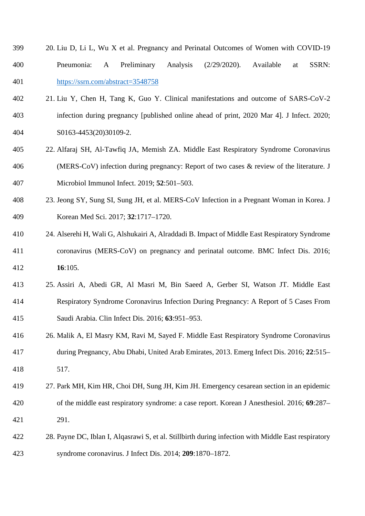- 20. Liu D, Li L, Wu X et al. Pregnancy and Perinatal Outcomes of Women with COVID-19 Pneumonia: A Preliminary Analysis (2/29/2020). Available at SSRN: <https://ssrn.com/abstract=3548758>
- 21. Liu Y, Chen H, Tang K, Guo Y. Clinical manifestations and outcome of SARS-CoV-2 infection during pregnancy [published online ahead of print, 2020 Mar 4]. J Infect. 2020; S0163-4453(20)30109-2.
- 22. Alfaraj SH, Al-Tawfiq JA, Memish ZA. Middle East Respiratory Syndrome Coronavirus (MERS-CoV) infection during pregnancy: Report of two cases & review of the literature. J Microbiol Immunol Infect. 2019; **52**:501–503.
- 23. Jeong SY, Sung SI, Sung JH, et al. MERS-CoV Infection in a Pregnant Woman in Korea. J Korean Med Sci. 2017; **32**:1717–1720.
- 24. Alserehi H, Wali G, Alshukairi A, Alraddadi B. Impact of Middle East Respiratory Syndrome coronavirus (MERS-CoV) on pregnancy and perinatal outcome. BMC Infect Dis. 2016; **16**:105.
- 25. Assiri A, Abedi GR, Al Masri M, Bin Saeed A, Gerber SI, Watson JT. Middle East Respiratory Syndrome Coronavirus Infection During Pregnancy: A Report of 5 Cases From Saudi Arabia. Clin Infect Dis. 2016; **63**:951–953.
- 26. Malik A, El Masry KM, Ravi M, Sayed F. Middle East Respiratory Syndrome Coronavirus during Pregnancy, Abu Dhabi, United Arab Emirates, 2013. Emerg Infect Dis. 2016; **22**:515– 517.
- 27. Park MH, Kim HR, Choi DH, Sung JH, Kim JH. Emergency cesarean section in an epidemic of the middle east respiratory syndrome: a case report. Korean J Anesthesiol. 2016; **69**:287– 291.
- 28. Payne DC, Iblan I, Alqasrawi S, et al. Stillbirth during infection with Middle East respiratory syndrome coronavirus. J Infect Dis. 2014; **209**:1870–1872.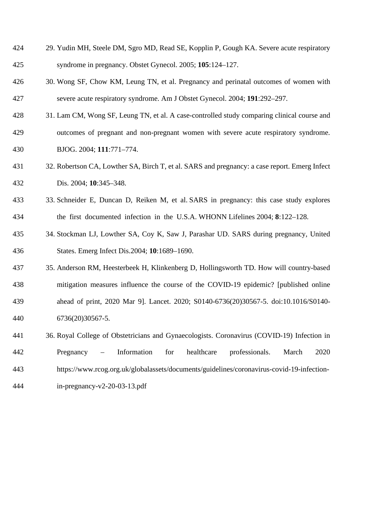| 424 | 29. Yudin MH, Steele DM, Sgro MD, Read SE, Kopplin P, Gough KA. Severe acute respiratory |
|-----|------------------------------------------------------------------------------------------|
| 425 | syndrome in pregnancy. Obstet Gynecol. 2005; 105:124–127.                                |

- 30. Wong SF, Chow KM, Leung TN, et al. Pregnancy and perinatal outcomes of women with severe acute respiratory syndrome. Am J Obstet Gynecol. 2004; **191**:292–297.
- 31. Lam CM, Wong SF, Leung TN, et al. A case-controlled study comparing clinical course and outcomes of pregnant and non-pregnant women with severe acute respiratory syndrome. BJOG. 2004; **111**:771–774.
- 32. Robertson CA, Lowther SA, Birch T, et al. SARS and pregnancy: a case report. Emerg Infect Dis. 2004; **10**:345–348.
- 33. Schneider E, Duncan D, Reiken M, et al. SARS in pregnancy: this case study explores the first documented infection in the U.S.A. WHONN Lifelines 2004; **8**:122–128.
- 34. Stockman LJ, Lowther SA, Coy K, Saw J, Parashar UD. SARS during pregnancy, United States. Emerg Infect Dis.2004; **10**:1689–1690.
- 35. Anderson RM, Heesterbeek H, Klinkenberg D, Hollingsworth TD. How will country-based mitigation measures influence the course of the COVID-19 epidemic? [published online ahead of print, 2020 Mar 9]. Lancet. 2020; S0140-6736(20)30567-5. doi:10.1016/S0140- 6736(20)30567-5.
- 36. Royal College of Obstetricians and Gynaecologists. Coronavirus (COVID-19) Infection in Pregnancy – Information for healthcare professionals. March 2020 https://www.rcog.org.uk/globalassets/documents/guidelines/coronavirus-covid-19-infection-in-pregnancy-v2-20-03-13.pdf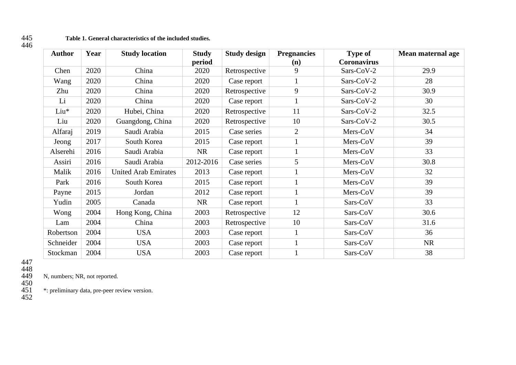| Author    | Year | <b>Study location</b>       | <b>Study</b><br>period | <b>Study design</b> | <b>Pregnancies</b><br>(n) | <b>Type of</b><br><b>Coronavirus</b> | Mean maternal age |
|-----------|------|-----------------------------|------------------------|---------------------|---------------------------|--------------------------------------|-------------------|
| Chen      | 2020 | China                       | 2020                   | Retrospective       | 9                         | Sars-CoV-2                           | 29.9              |
| Wang      | 2020 | China                       | 2020                   | Case report         |                           | Sars-CoV-2                           | 28                |
| Zhu       | 2020 | China                       | 2020                   | Retrospective       | 9                         | Sars-CoV-2                           | 30.9              |
| Li        | 2020 | China                       | 2020                   | Case report         |                           | Sars-CoV-2                           | 30                |
| Liu*      | 2020 | Hubei, China                | 2020                   | Retrospective       | 11                        | Sars-CoV-2                           | 32.5              |
| Liu       | 2020 | Guangdong, China            | 2020                   | Retrospective       | 10                        | Sars-CoV-2                           | 30.5              |
| Alfaraj   | 2019 | Saudi Arabia                | 2015                   | Case series         | $\overline{2}$            | Mers-CoV                             | 34                |
| Jeong     | 2017 | South Korea                 | 2015                   | Case report         |                           | Mers-CoV                             | 39                |
| Alserehi  | 2016 | Saudi Arabia                | <b>NR</b>              | Case report         |                           | Mers-CoV                             | 33                |
| Assiri    | 2016 | Saudi Arabia                | 2012-2016              | Case series         | 5                         | Mers-CoV                             | 30.8              |
| Malik     | 2016 | <b>United Arab Emirates</b> | 2013                   | Case report         |                           | Mers-CoV                             | 32                |
| Park      | 2016 | South Korea                 | 2015                   | Case report         |                           | Mers-CoV                             | 39                |
| Payne     | 2015 | Jordan                      | 2012                   | Case report         |                           | Mers-CoV                             | 39                |
| Yudin     | 2005 | Canada                      | <b>NR</b>              | Case report         |                           | Sars-CoV                             | 33                |
| Wong      | 2004 | Hong Kong, China            | 2003                   | Retrospective       | 12                        | Sars-CoV                             | 30.6              |
| Lam       | 2004 | China                       | 2003                   | Retrospective       | 10                        | Sars-CoV                             | 31.6              |
| Robertson | 2004 | <b>USA</b>                  | 2003                   | Case report         |                           | Sars-CoV                             | 36                |
| Schneider | 2004 | <b>USA</b>                  | 2003                   | Case report         |                           | Sars-CoV                             | <b>NR</b>         |
| Stockman  | 2004 | <b>USA</b>                  | 2003                   | Case report         |                           | Sars-CoV                             | 38                |

445<br>446

N, numbers; NR, not reported.

450

\*: preliminary data, pre-peer review version.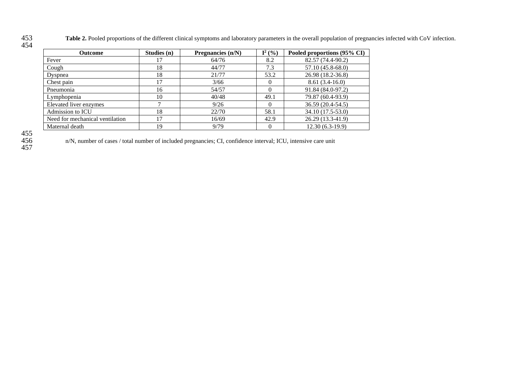453 **Table 2.** Pooled proportions of the different clinical symptoms and laboratory parameters in the overall population of pregnancies infected with CoV infection.

| v |  |
|---|--|
|---|--|

| <b>Outcome</b>                  | Studies $(n)$ | Pregnancies $(n/N)$ | $I^2$ (%) | Pooled proportions (95% CI) |
|---------------------------------|---------------|---------------------|-----------|-----------------------------|
| Fever                           |               | 64/76               | 8.2       | 82.57 (74.4-90.2)           |
| Cough                           | 18            | 44/77               | 7.3       | $57.10(45.8-68.0)$          |
| Dyspnea                         | 18            | 21/77               | 53.2      | 26.98 (18.2-36.8)           |
| Chest pain                      | 17            | 3/66                | $\left($  | $8.61(3.4-16.0)$            |
| Pneumonia                       | 16            | 54/57               | $\Omega$  | 91.84 (84.0-97.2)           |
| Lymphopenia                     | 10            | 40/48               | 49.1      | 79.87 (60.4-93.9)           |
| Elevated liver enzymes          |               | 9/26                | $\Omega$  | 36.59 (20.4-54.5)           |
| Admission to ICU                | 18            | 22/70               | 58.1      | 34.10 (17.5-53.0)           |
| Need for mechanical ventilation | 17            | 16/69               | 42.9      | 26.29 (13.3-41.9)           |
| Maternal death                  | 19            | 9/79                | $\Omega$  | $12.30(6.3-19.9)$           |

457

n/N, number of cases / total number of included pregnancies; CI, confidence interval; ICU, intensive care unit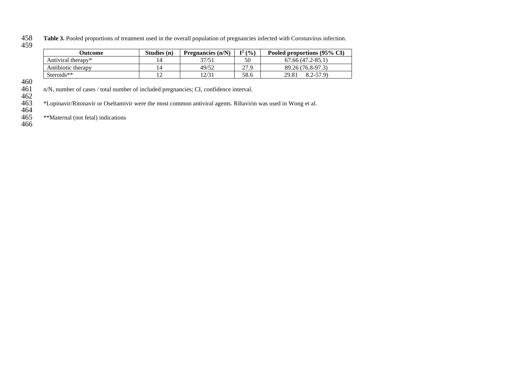Table 3. Pooled proportions of treatment used in the overall population of pregnancies infected with Coronavirus infection. 458<br>459

| Outcome            | Studies (n) | Pregnancies $(n/N)$ | $I^2$ (%) | Pooled proportions (95% CI) |
|--------------------|-------------|---------------------|-----------|-----------------------------|
| Antiviral therapy* |             | 37/51               | 50        | $67.66(47.2 - 85.1)$        |
| Antibiotic therapy |             | 49/52               | 27.9      | 89.26 (76.8-97.3)           |
| Steroids**         |             | 12/31               | 58.6      | $8.2 - 57.9$<br>29.81       |

460

n/N, number of cases / total number of included pregnancies; CI, confidence interval.

462

463 \*Lopinavir/Ritonavir or Oseltamivir were the most common antiviral agents. Ribavirin was used in Wong et al.

464

465 \*\*Maternal (not fetal) indications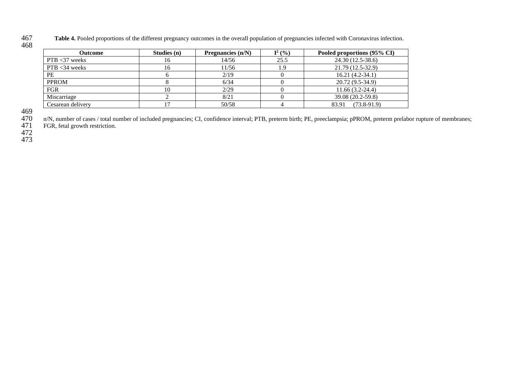Table 4. Pooled proportions of the different pregnancy outcomes in the overall population of pregnancies infected with Coronavirus infection.

| <b>Outcome</b>    | Studies $(n)$ | Pregnancies $(n/N)$ | $I^2$ (%) | Pooled proportions (95% CI) |
|-------------------|---------------|---------------------|-----------|-----------------------------|
| $PTB < 37$ weeks  | 16            | 14/56               | 25.5      | 24.30 (12.5-38.6)           |
| $PTB < 34$ weeks  | 16            | 11/56               | 1.9       | 21.79 (12.5-32.9)           |
| <b>PE</b>         |               | 2/19                |           | $16.21(4.2-34.1)$           |
| <b>PPROM</b>      |               | 6/34                |           | 20.72 (9.5-34.9)            |
| <b>FGR</b>        | 10            | 2/29                |           | $11.66(3.2-24.4)$           |
| Miscarriage       |               | 8/21                |           | 39.08 (20.2-59.8)           |
| Cesarean delivery |               | 50/58               |           | $(73.8-91.9)$<br>83.91      |

n/N, number of cases / total number of included pregnancies; CI, confidence interval; PTB, preterm birth; PE, preeclampsia; pPROM, preterm prelabor rupture of membranes;

FGR, fetal growth restriction.

472

473

467<br>468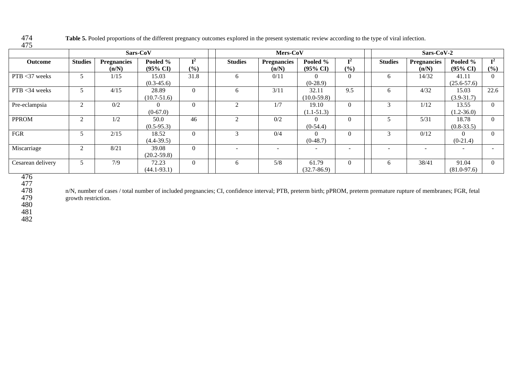Table 5. Pooled proportions of the different pregnancy outcomes explored in the present systematic review according to the type of viral infection. 475

| Sars-CoV          |                |                             |                                 |                       |                | Mers-CoV                    |                                 |                          |                | Sars-CoV-2                  |                                 |                       |  |
|-------------------|----------------|-----------------------------|---------------------------------|-----------------------|----------------|-----------------------------|---------------------------------|--------------------------|----------------|-----------------------------|---------------------------------|-----------------------|--|
| Outcome           | <b>Studies</b> | <b>Pregnancies</b><br>(n/N) | Pooled %<br>$(95\% \text{ CI})$ | $\mathbf{I}^2$<br>(%) | <b>Studies</b> | <b>Pregnancies</b><br>(n/N) | Pooled %<br>$(95\% \text{ CI})$ | $\mathbf{I}^2$<br>$(\%)$ | <b>Studies</b> | <b>Pregnancies</b><br>(n/N) | Pooled %<br>$(95\% \text{ CI})$ | $\mathbf{I}^2$<br>(%) |  |
| $PTB < 37$ weeks  |                | 1/15                        | 15.03<br>$(0.3-45.6)$           | 31.8                  | 6              | 0/11                        | $(0-28.9)$                      | $\theta$                 | 6              | 14/32                       | 41.11<br>$(25.6 - 57.6)$        | $\Omega$              |  |
| $PTB < 34$ weeks  |                | 4/15                        | 28.89<br>$(10.7 - 51.6)$        | $\Omega$              | 6              | 3/11                        | 32.11<br>$(10.0 - 59.8)$        | 9.5                      | 6              | 4/32                        | 15.03<br>$(3.9 - 31.7)$         | 22.6                  |  |
| Pre-eclampsia     | ◠<br>∠         | 0/2                         | $\Omega$<br>$(0-67.0)$          | $\Omega$              | $\mathcal{D}$  | 1/7                         | 19.10<br>$(1.1 - 51.3)$         | $\Omega$                 | 3              | 1/12                        | 13.55<br>$(1.2 - 36.0)$         | $\Omega$              |  |
| <b>PPROM</b>      | 2              | 1/2                         | 50.0<br>$(0.5-95.3)$            | 46                    | $\mathfrak{D}$ | 0/2                         | $(0-54.4)$                      | $\theta$                 |                | 5/31                        | 18.78<br>$(0.8 - 33.5)$         | $\Omega$              |  |
| <b>FGR</b>        |                | 2/15                        | 18.52<br>$(4.4 - 39.5)$         | $\Omega$              |                | 0/4                         | $(0-48.7)$                      | $\Omega$                 | 3              | 0/12                        | $(0-21.4)$                      | $\theta$              |  |
| Miscarriage       | $\bigcap$<br>∠ | 8/21                        | 39.08<br>$(20.2 - 59.8)$        | $\Omega$              |                |                             |                                 |                          |                |                             |                                 |                       |  |
| Cesarean delivery |                | 7/9                         | 72.23<br>$(44.1 - 93.1)$        | $\Omega$              | 6              | 5/8                         | 61.79<br>$(32.7 - 86.9)$        | $\Omega$                 | 6              | 38/41                       | 91.04<br>$(81.0 - 97.6)$        | $\theta$              |  |

476 477

n/N, number of cases / total number of included pregnancies; CI, confidence interval; PTB, preterm birth; pPROM, preterm premature rupture of membranes; FGR, fetal growth restriction.

480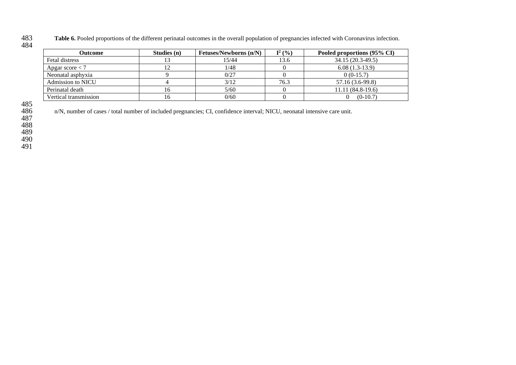Table 6. Pooled proportions of the different perinatal outcomes in the overall population of pregnancies infected with Coronavirus infection. 483<br>484

| <b>Outcome</b>        | Studies (n) | <b>Fetuses/Newborns (n/N)</b> | $I^2$ (%) | Pooled proportions (95% CI) |
|-----------------------|-------------|-------------------------------|-----------|-----------------------------|
| Fetal distress        |             | 15/44                         | 13.6      | 34.15 (20.3-49.5)           |
| Apgar score $<$ 7     |             | 1/48                          |           | $6.08(1.3-13.9)$            |
| Neonatal asphyxia     |             | 0/27                          |           | $0(0-15.7)$                 |
| Admission to NICU     |             | 3/12                          | 76.3      | 57.16 (3.6-99.8)            |
| Perinatal death       | ιb          | 5/60                          |           | $11.11(84.8-19.6)$          |
| Vertical transmission | ιb          | 0/60                          |           | $(0-10.7)$                  |

n/N, number of cases / total number of included pregnancies; CI, confidence interval; NICU, neonatal intensive care unit.

487

488

489

490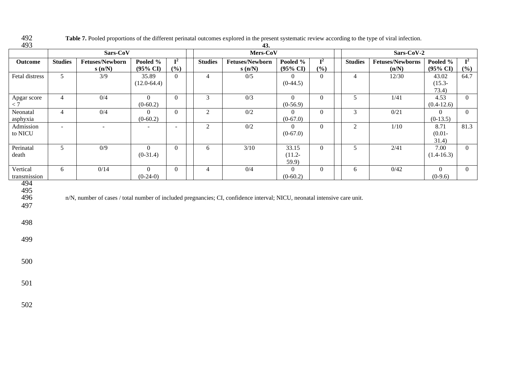| 493            |                 |                                                                                                                           |                     |                           |                | 43.                    |                              |                           |                |                         |                     |                |
|----------------|-----------------|---------------------------------------------------------------------------------------------------------------------------|---------------------|---------------------------|----------------|------------------------|------------------------------|---------------------------|----------------|-------------------------|---------------------|----------------|
|                |                 | Sars-CoV                                                                                                                  |                     |                           | Mers-CoV       |                        |                              |                           |                | Sars-CoV-2              |                     |                |
| Outcome        | <b>Studies</b>  | <b>Fetuses/Newborn</b>                                                                                                    | Pooled %            | $\overline{\mathbf{I}^2}$ | <b>Studies</b> | <b>Fetuses/Newborn</b> | Pooled %                     | $\overline{\mathbf{I}^2}$ | <b>Studies</b> | <b>Fetuses/Newborns</b> | Pooled %            | $\mathbf{I}^2$ |
|                |                 | s(n/N)                                                                                                                    | $(95\% \text{ CI})$ | (%)                       |                | s(n/N)                 | $(95\% \text{ CI})$          | (%)                       |                | (n/N)                   | $(95\% \text{ CI})$ | (%)            |
| Fetal distress | 5 <sup>5</sup>  | 3/9                                                                                                                       | 35.89               | $\overline{0}$            | $\overline{4}$ | 0/5                    | $\overline{0}$               | $\overline{0}$            | $\overline{4}$ | 12/30                   | 43.02               | 64.7           |
|                |                 |                                                                                                                           | $(12.0-64.4)$       |                           |                |                        | $(0-44.5)$                   |                           |                |                         | $(15.3 -$           |                |
|                |                 |                                                                                                                           |                     |                           |                |                        |                              |                           |                |                         | 73.4)               |                |
| Apgar score    | $\overline{4}$  | 0/4                                                                                                                       | $\overline{0}$      | $\overline{0}$            | $\mathfrak{Z}$ | 0/3                    | $\overline{0}$               | $\overline{0}$            | 5 <sup>5</sup> | 1/41                    | 4.53                | $\overline{0}$ |
| $< 7\,$        |                 |                                                                                                                           | $(0-60.2)$          |                           |                |                        | $(0-56.9)$                   |                           |                |                         | $(0.4-12.6)$        |                |
| Neonatal       | $\overline{4}$  | 0/4                                                                                                                       | $\Omega$            | $\overline{0}$            | $\overline{2}$ | $0/2$                  | $\overline{0}$               | $\overline{0}$            | $\mathfrak{Z}$ | 0/21                    | $\overline{0}$      | $\overline{0}$ |
| asphyxia       |                 |                                                                                                                           | $(0-60.2)$          |                           |                |                        | $(0-67.0)$                   |                           |                |                         | $(0-13.5)$          |                |
| Admission      | $\blacksquare$  | $\blacksquare$                                                                                                            |                     | $\overline{\phantom{a}}$  | $\overline{2}$ | $0/2$                  | $\overline{0}$<br>$(0-67.0)$ | $\overline{0}$            | $\overline{2}$ | $1/10$                  | 8.71                | 81.3           |
| to NICU        |                 |                                                                                                                           |                     |                           |                |                        |                              |                           |                |                         | $(0.01 -$<br>31.4)  |                |
| Perinatal      | $5\overline{)}$ | 0/9                                                                                                                       | $\overline{0}$      | $\overline{0}$            | 6              | $3/10$                 | 33.15                        | $\overline{0}$            | 5              | 2/41                    | 7.00                | $\overline{0}$ |
| death          |                 |                                                                                                                           | $(0-31.4)$          |                           |                |                        | $(11.2 -$                    |                           |                |                         | $(1.4 - 16.3)$      |                |
|                |                 |                                                                                                                           |                     |                           |                |                        | 59.9                         |                           |                |                         |                     |                |
| Vertical       | 6               | 0/14                                                                                                                      | $\overline{0}$      | $\overline{0}$            | $\overline{4}$ | 0/4                    | $\overline{0}$               | $\boldsymbol{0}$          | 6              | 0/42                    | $\boldsymbol{0}$    | $\overline{0}$ |
| transmission   |                 |                                                                                                                           | $(0-24-0)$          |                           |                |                        | $(0-60.2)$                   |                           |                |                         | $(0-9.6)$           |                |
| 494            |                 |                                                                                                                           |                     |                           |                |                        |                              |                           |                |                         |                     |                |
| 495            |                 |                                                                                                                           |                     |                           |                |                        |                              |                           |                |                         |                     |                |
| 496            |                 | n/N, number of cases / total number of included pregnancies; CI, confidence interval; NICU, neonatal intensive care unit. |                     |                           |                |                        |                              |                           |                |                         |                     |                |
| 497            |                 |                                                                                                                           |                     |                           |                |                        |                              |                           |                |                         |                     |                |
|                |                 |                                                                                                                           |                     |                           |                |                        |                              |                           |                |                         |                     |                |
| 498            |                 |                                                                                                                           |                     |                           |                |                        |                              |                           |                |                         |                     |                |
|                |                 |                                                                                                                           |                     |                           |                |                        |                              |                           |                |                         |                     |                |
| 499            |                 |                                                                                                                           |                     |                           |                |                        |                              |                           |                |                         |                     |                |
|                |                 |                                                                                                                           |                     |                           |                |                        |                              |                           |                |                         |                     |                |
|                |                 |                                                                                                                           |                     |                           |                |                        |                              |                           |                |                         |                     |                |
| 500            |                 |                                                                                                                           |                     |                           |                |                        |                              |                           |                |                         |                     |                |
|                |                 |                                                                                                                           |                     |                           |                |                        |                              |                           |                |                         |                     |                |
|                |                 |                                                                                                                           |                     |                           |                |                        |                              |                           |                |                         |                     |                |
| 501            |                 |                                                                                                                           |                     |                           |                |                        |                              |                           |                |                         |                     |                |
|                |                 |                                                                                                                           |                     |                           |                |                        |                              |                           |                |                         |                     |                |
|                |                 |                                                                                                                           |                     |                           |                |                        |                              |                           |                |                         |                     |                |
| 502            |                 |                                                                                                                           |                     |                           |                |                        |                              |                           |                |                         |                     |                |

492 Table 7. Pooled proportions of the different perinatal outcomes explored in the present systematic review according to the type of viral infection.